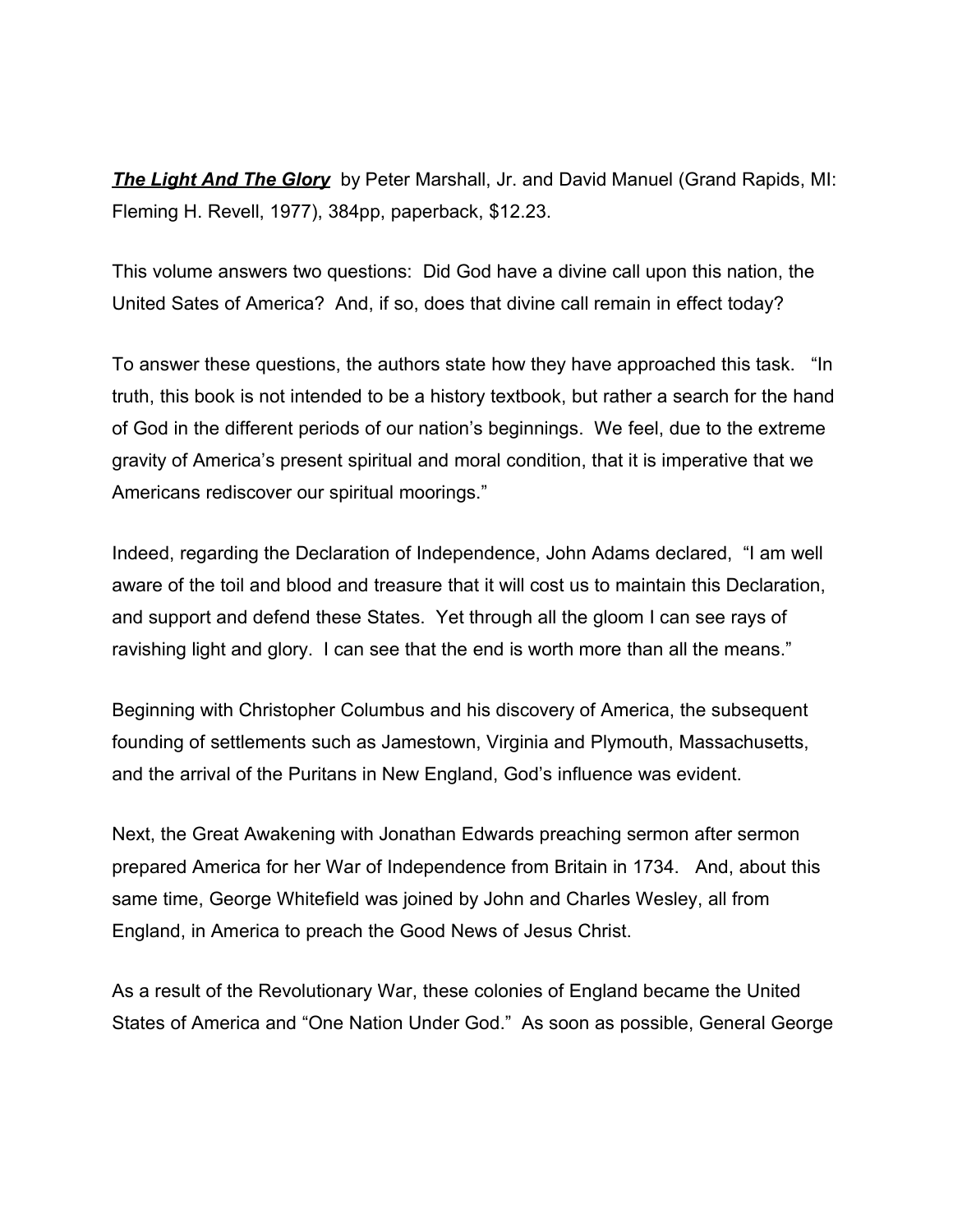*The [Light And](http://www.bestbookdeal.com/book/compare/0-8007-5054-3) The Glory* by Peter Marshall, Jr. and David Manuel (Grand Rapids, MI: Fleming H. Revell, 1977), 384pp, paperback, \$12.23.

This volume answers two questions: Did God have a divine call upon this nation, the United Sates of America? And, if so, does that divine call remain in effect today?

To answer these questions, the authors state how they have approached this task. "In truth, this book is not intended to be a history textbook, but rather a search for the hand of God in the different periods of our nation's beginnings. We feel, due to the extreme gravity of America's present spiritual and moral condition, that it is imperative that we Americans rediscover our spiritual moorings."

Indeed, regarding the Declaration of Independence, John Adams declared, "I am well aware of the toil and blood and treasure that it will cost us to maintain this Declaration, and support and defend these States. Yet through all the gloom I can see rays of ravishing light and glory. I can see that the end is worth more than all the means."

Beginning with Christopher Columbus and his discovery of America, the subsequent founding of settlements such as Jamestown, Virginia and Plymouth, Massachusetts, and the arrival of the Puritans in New England, God's influence was evident.

Next, the Great Awakening with Jonathan Edwards preaching sermon after sermon prepared America for her War of Independence from Britain in 1734. And, about this same time, George Whitefield was joined by John and Charles Wesley, all from England, in America to preach the Good News of Jesus Christ.

As a result of the Revolutionary War, these colonies of England became the United States of America and "One Nation Under God." As soon as possible, General George